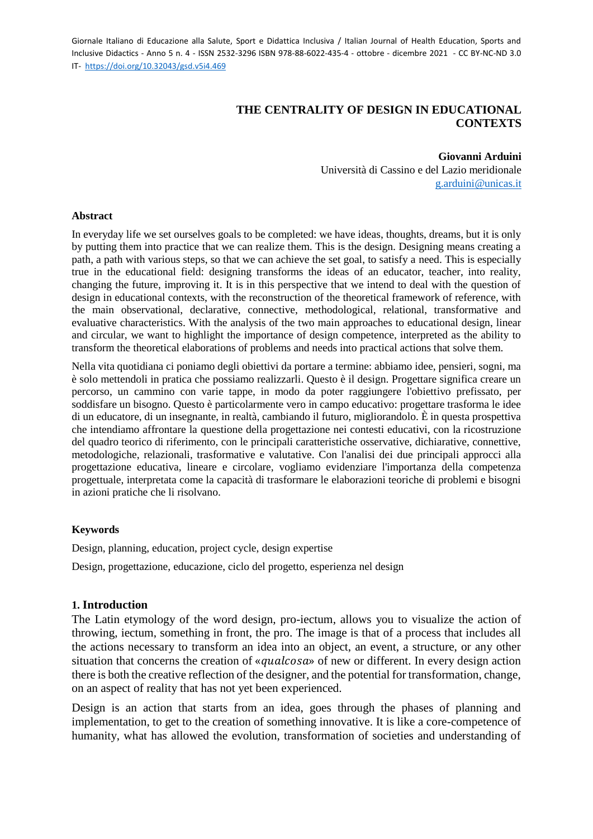# **THE CENTRALITY OF DESIGN IN EDUCATIONAL CONTEXTS**

 **Giovanni Arduini**

 Università di Cassino e del Lazio meridionale [g.arduini@unicas.it](mailto:g.arduini@unicas.it)

#### **Abstract**

In everyday life we set ourselves goals to be completed: we have ideas, thoughts, dreams, but it is only by putting them into practice that we can realize them. This is the design. Designing means creating a path, a path with various steps, so that we can achieve the set goal, to satisfy a need. This is especially true in the educational field: designing transforms the ideas of an educator, teacher, into reality, changing the future, improving it. It is in this perspective that we intend to deal with the question of design in educational contexts, with the reconstruction of the theoretical framework of reference, with the main observational, declarative, connective, methodological, relational, transformative and evaluative characteristics. With the analysis of the two main approaches to educational design, linear and circular, we want to highlight the importance of design competence, interpreted as the ability to transform the theoretical elaborations of problems and needs into practical actions that solve them.

Nella vita quotidiana ci poniamo degli obiettivi da portare a termine: abbiamo idee, pensieri, sogni, ma è solo mettendoli in pratica che possiamo realizzarli. Questo è il design. Progettare significa creare un percorso, un cammino con varie tappe, in modo da poter raggiungere l'obiettivo prefissato, per soddisfare un bisogno. Questo è particolarmente vero in campo educativo: progettare trasforma le idee di un educatore, di un insegnante, in realtà, cambiando il futuro, migliorandolo. È in questa prospettiva che intendiamo affrontare la questione della progettazione nei contesti educativi, con la ricostruzione del quadro teorico di riferimento, con le principali caratteristiche osservative, dichiarative, connettive, metodologiche, relazionali, trasformative e valutative. Con l'analisi dei due principali approcci alla progettazione educativa, lineare e circolare, vogliamo evidenziare l'importanza della competenza progettuale, interpretata come la capacità di trasformare le elaborazioni teoriche di problemi e bisogni in azioni pratiche che li risolvano.

### **Keywords**

Design, planning, education, project cycle, design expertise

Design, progettazione, educazione, ciclo del progetto, esperienza nel design

### **1. Introduction**

The Latin etymology of the word design, pro-iectum, allows you to visualize the action of throwing, iectum, something in front, the pro. The image is that of a process that includes all the actions necessary to transform an idea into an object, an event, a structure, or any other situation that concerns the creation of «*qualcosa*» of new or different. In every design action there is both the creative reflection of the designer, and the potential for transformation, change, on an aspect of reality that has not yet been experienced.

Design is an action that starts from an idea, goes through the phases of planning and implementation, to get to the creation of something innovative. It is like a core-competence of humanity, what has allowed the evolution, transformation of societies and understanding of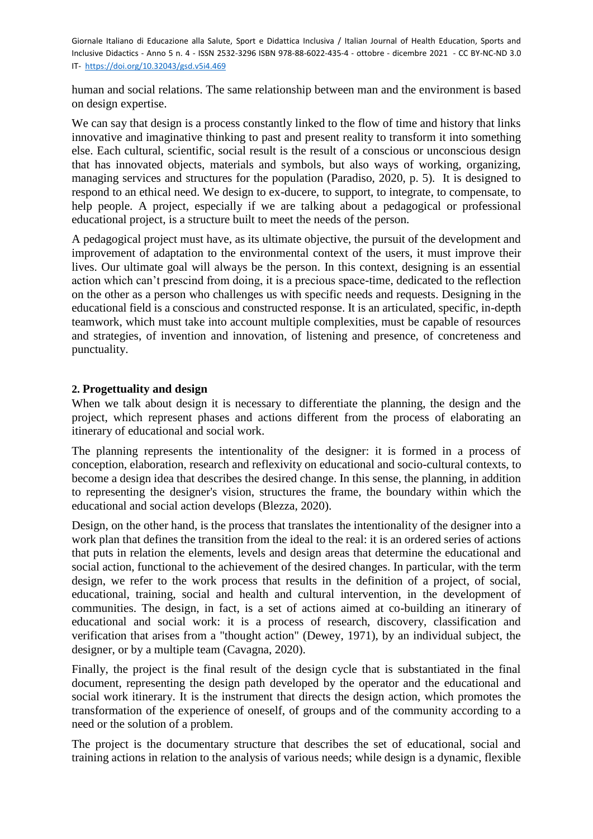human and social relations. The same relationship between man and the environment is based on design expertise.

We can say that design is a process constantly linked to the flow of time and history that links innovative and imaginative thinking to past and present reality to transform it into something else. Each cultural, scientific, social result is the result of a conscious or unconscious design that has innovated objects, materials and symbols, but also ways of working, organizing, managing services and structures for the population (Paradiso, 2020, p. 5). It is designed to respond to an ethical need. We design to ex-ducere, to support, to integrate, to compensate, to help people. A project, especially if we are talking about a pedagogical or professional educational project, is a structure built to meet the needs of the person.

A pedagogical project must have, as its ultimate objective, the pursuit of the development and improvement of adaptation to the environmental context of the users, it must improve their lives. Our ultimate goal will always be the person. In this context, designing is an essential action which can't prescind from doing, it is a precious space-time, dedicated to the reflection on the other as a person who challenges us with specific needs and requests. Designing in the educational field is a conscious and constructed response. It is an articulated, specific, in-depth teamwork, which must take into account multiple complexities, must be capable of resources and strategies, of invention and innovation, of listening and presence, of concreteness and punctuality.

## **2. Progettuality and design**

When we talk about design it is necessary to differentiate the planning, the design and the project, which represent phases and actions different from the process of elaborating an itinerary of educational and social work.

The planning represents the intentionality of the designer: it is formed in a process of conception, elaboration, research and reflexivity on educational and socio-cultural contexts, to become a design idea that describes the desired change. In this sense, the planning, in addition to representing the designer's vision, structures the frame, the boundary within which the educational and social action develops (Blezza, 2020).

Design, on the other hand, is the process that translates the intentionality of the designer into a work plan that defines the transition from the ideal to the real: it is an ordered series of actions that puts in relation the elements, levels and design areas that determine the educational and social action, functional to the achievement of the desired changes. In particular, with the term design, we refer to the work process that results in the definition of a project, of social, educational, training, social and health and cultural intervention, in the development of communities. The design, in fact, is a set of actions aimed at co-building an itinerary of educational and social work: it is a process of research, discovery, classification and verification that arises from a "thought action" (Dewey, 1971), by an individual subject, the designer, or by a multiple team (Cavagna, 2020).

Finally, the project is the final result of the design cycle that is substantiated in the final document, representing the design path developed by the operator and the educational and social work itinerary. It is the instrument that directs the design action, which promotes the transformation of the experience of oneself, of groups and of the community according to a need or the solution of a problem.

The project is the documentary structure that describes the set of educational, social and training actions in relation to the analysis of various needs; while design is a dynamic, flexible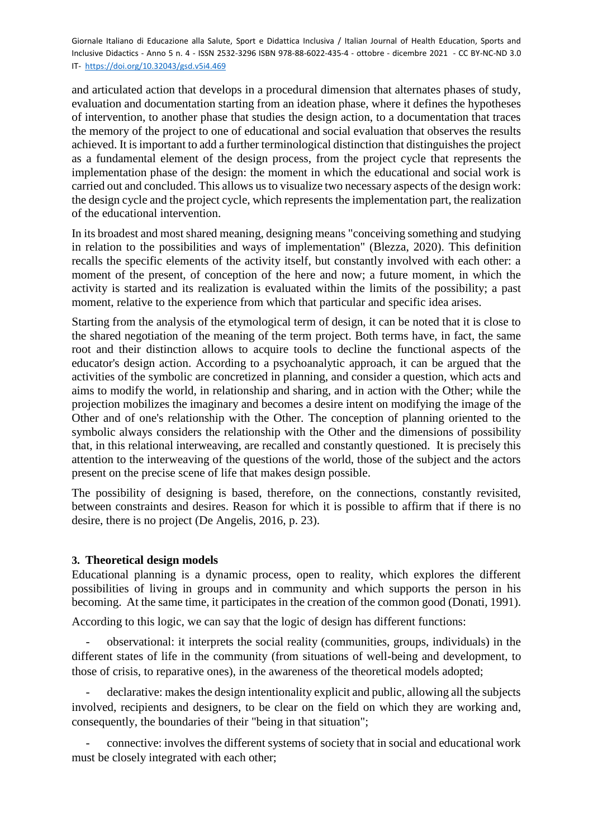and articulated action that develops in a procedural dimension that alternates phases of study, evaluation and documentation starting from an ideation phase, where it defines the hypotheses of intervention, to another phase that studies the design action, to a documentation that traces the memory of the project to one of educational and social evaluation that observes the results achieved. It is important to add a further terminological distinction that distinguishes the project as a fundamental element of the design process, from the project cycle that represents the implementation phase of the design: the moment in which the educational and social work is carried out and concluded. This allows us to visualize two necessary aspects of the design work: the design cycle and the project cycle, which represents the implementation part, the realization of the educational intervention.

In its broadest and most shared meaning, designing means "conceiving something and studying in relation to the possibilities and ways of implementation" (Blezza, 2020). This definition recalls the specific elements of the activity itself, but constantly involved with each other: a moment of the present, of conception of the here and now; a future moment, in which the activity is started and its realization is evaluated within the limits of the possibility; a past moment, relative to the experience from which that particular and specific idea arises.

Starting from the analysis of the etymological term of design, it can be noted that it is close to the shared negotiation of the meaning of the term project. Both terms have, in fact, the same root and their distinction allows to acquire tools to decline the functional aspects of the educator's design action. According to a psychoanalytic approach, it can be argued that the activities of the symbolic are concretized in planning, and consider a question, which acts and aims to modify the world, in relationship and sharing, and in action with the Other; while the projection mobilizes the imaginary and becomes a desire intent on modifying the image of the Other and of one's relationship with the Other. The conception of planning oriented to the symbolic always considers the relationship with the Other and the dimensions of possibility that, in this relational interweaving, are recalled and constantly questioned. It is precisely this attention to the interweaving of the questions of the world, those of the subject and the actors present on the precise scene of life that makes design possible.

The possibility of designing is based, therefore, on the connections, constantly revisited, between constraints and desires. Reason for which it is possible to affirm that if there is no desire, there is no project (De Angelis, 2016, p. 23).

### **3. Theoretical design models**

Educational planning is a dynamic process, open to reality, which explores the different possibilities of living in groups and in community and which supports the person in his becoming. At the same time, it participates in the creation of the common good (Donati, 1991).

According to this logic, we can say that the logic of design has different functions:

- observational: it interprets the social reality (communities, groups, individuals) in the different states of life in the community (from situations of well-being and development, to those of crisis, to reparative ones), in the awareness of the theoretical models adopted;

- declarative: makes the design intentionality explicit and public, allowing all the subjects involved, recipients and designers, to be clear on the field on which they are working and, consequently, the boundaries of their "being in that situation";

- connective: involves the different systems of society that in social and educational work must be closely integrated with each other;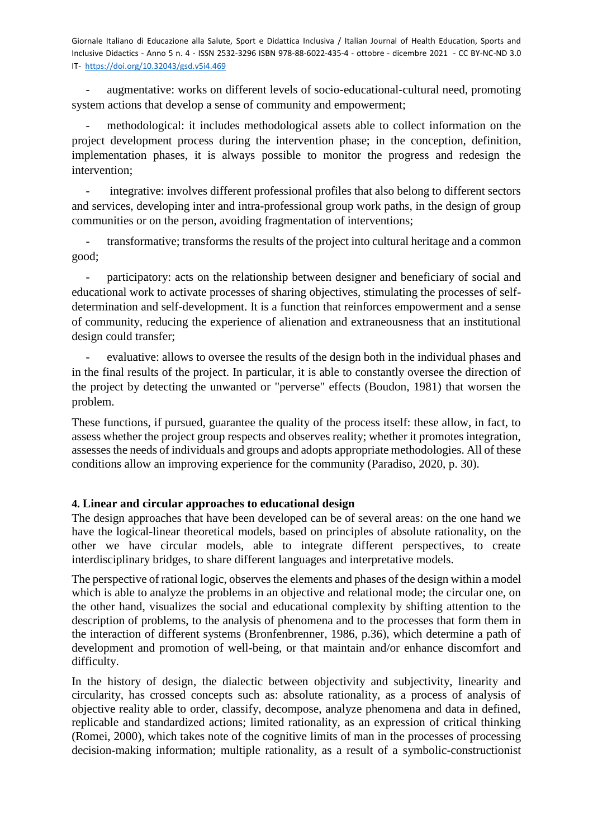augmentative: works on different levels of socio-educational-cultural need, promoting system actions that develop a sense of community and empowerment;

methodological: it includes methodological assets able to collect information on the project development process during the intervention phase; in the conception, definition, implementation phases, it is always possible to monitor the progress and redesign the intervention;

integrative: involves different professional profiles that also belong to different sectors and services, developing inter and intra-professional group work paths, in the design of group communities or on the person, avoiding fragmentation of interventions;

transformative; transforms the results of the project into cultural heritage and a common good;

participatory: acts on the relationship between designer and beneficiary of social and educational work to activate processes of sharing objectives, stimulating the processes of selfdetermination and self-development. It is a function that reinforces empowerment and a sense of community, reducing the experience of alienation and extraneousness that an institutional design could transfer;

- evaluative: allows to oversee the results of the design both in the individual phases and in the final results of the project. In particular, it is able to constantly oversee the direction of the project by detecting the unwanted or "perverse" effects (Boudon, 1981) that worsen the problem.

These functions, if pursued, guarantee the quality of the process itself: these allow, in fact, to assess whether the project group respects and observes reality; whether it promotes integration, assesses the needs of individuals and groups and adopts appropriate methodologies. All of these conditions allow an improving experience for the community (Paradiso, 2020, p. 30).

# **4. Linear and circular approaches to educational design**

The design approaches that have been developed can be of several areas: on the one hand we have the logical-linear theoretical models, based on principles of absolute rationality, on the other we have circular models, able to integrate different perspectives, to create interdisciplinary bridges, to share different languages and interpretative models.

The perspective of rational logic, observes the elements and phases of the design within a model which is able to analyze the problems in an objective and relational mode; the circular one, on the other hand, visualizes the social and educational complexity by shifting attention to the description of problems, to the analysis of phenomena and to the processes that form them in the interaction of different systems (Bronfenbrenner, 1986, p.36), which determine a path of development and promotion of well-being, or that maintain and/or enhance discomfort and difficulty.

In the history of design, the dialectic between objectivity and subjectivity, linearity and circularity, has crossed concepts such as: absolute rationality, as a process of analysis of objective reality able to order, classify, decompose, analyze phenomena and data in defined, replicable and standardized actions; limited rationality, as an expression of critical thinking (Romei, 2000), which takes note of the cognitive limits of man in the processes of processing decision-making information; multiple rationality, as a result of a symbolic-constructionist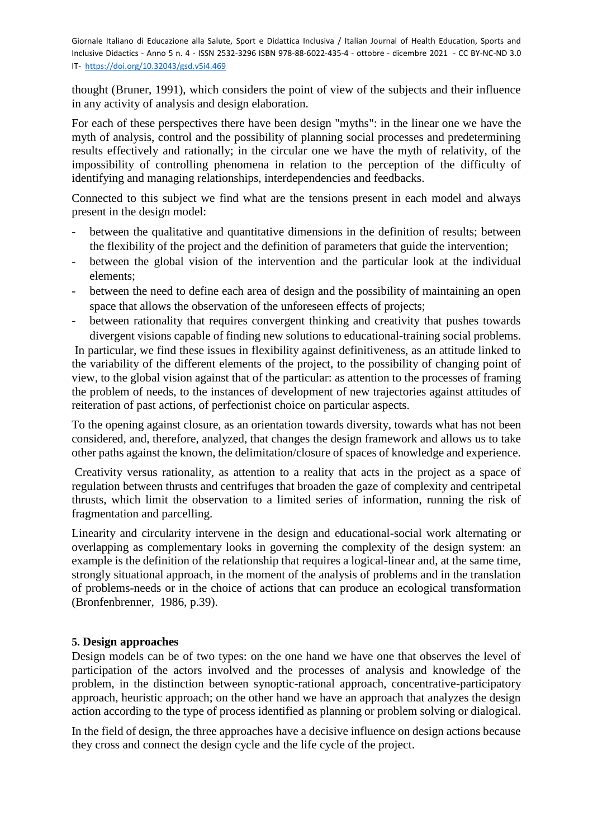thought (Bruner, 1991), which considers the point of view of the subjects and their influence in any activity of analysis and design elaboration.

For each of these perspectives there have been design "myths": in the linear one we have the myth of analysis, control and the possibility of planning social processes and predetermining results effectively and rationally; in the circular one we have the myth of relativity, of the impossibility of controlling phenomena in relation to the perception of the difficulty of identifying and managing relationships, interdependencies and feedbacks.

Connected to this subject we find what are the tensions present in each model and always present in the design model:

- between the qualitative and quantitative dimensions in the definition of results; between the flexibility of the project and the definition of parameters that guide the intervention;
- between the global vision of the intervention and the particular look at the individual elements;
- between the need to define each area of design and the possibility of maintaining an open space that allows the observation of the unforeseen effects of projects;
- between rationality that requires convergent thinking and creativity that pushes towards divergent visions capable of finding new solutions to educational-training social problems.

In particular, we find these issues in flexibility against definitiveness, as an attitude linked to the variability of the different elements of the project, to the possibility of changing point of view, to the global vision against that of the particular: as attention to the processes of framing the problem of needs, to the instances of development of new trajectories against attitudes of reiteration of past actions, of perfectionist choice on particular aspects.

To the opening against closure, as an orientation towards diversity, towards what has not been considered, and, therefore, analyzed, that changes the design framework and allows us to take other paths against the known, the delimitation/closure of spaces of knowledge and experience.

Creativity versus rationality, as attention to a reality that acts in the project as a space of regulation between thrusts and centrifuges that broaden the gaze of complexity and centripetal thrusts, which limit the observation to a limited series of information, running the risk of fragmentation and parcelling.

Linearity and circularity intervene in the design and educational-social work alternating or overlapping as complementary looks in governing the complexity of the design system: an example is the definition of the relationship that requires a logical-linear and, at the same time, strongly situational approach, in the moment of the analysis of problems and in the translation of problems-needs or in the choice of actions that can produce an ecological transformation (Bronfenbrenner, 1986, p.39).

### **5. Design approaches**

Design models can be of two types: on the one hand we have one that observes the level of participation of the actors involved and the processes of analysis and knowledge of the problem, in the distinction between synoptic-rational approach, concentrative-participatory approach, heuristic approach; on the other hand we have an approach that analyzes the design action according to the type of process identified as planning or problem solving or dialogical.

In the field of design, the three approaches have a decisive influence on design actions because they cross and connect the design cycle and the life cycle of the project.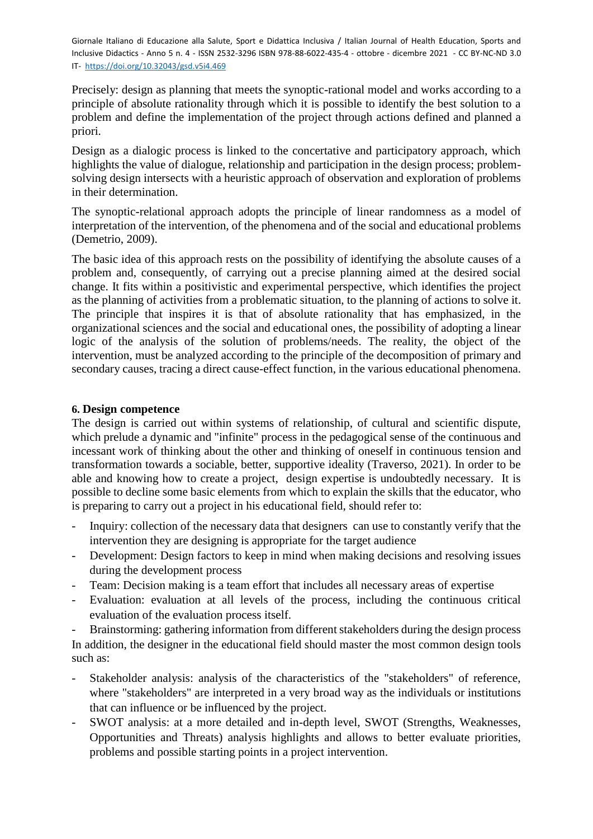Precisely: design as planning that meets the synoptic-rational model and works according to a principle of absolute rationality through which it is possible to identify the best solution to a problem and define the implementation of the project through actions defined and planned a priori.

Design as a dialogic process is linked to the concertative and participatory approach, which highlights the value of dialogue, relationship and participation in the design process; problemsolving design intersects with a heuristic approach of observation and exploration of problems in their determination.

The synoptic-relational approach adopts the principle of linear randomness as a model of interpretation of the intervention, of the phenomena and of the social and educational problems (Demetrio, 2009).

The basic idea of this approach rests on the possibility of identifying the absolute causes of a problem and, consequently, of carrying out a precise planning aimed at the desired social change. It fits within a positivistic and experimental perspective, which identifies the project as the planning of activities from a problematic situation, to the planning of actions to solve it. The principle that inspires it is that of absolute rationality that has emphasized, in the organizational sciences and the social and educational ones, the possibility of adopting a linear logic of the analysis of the solution of problems/needs. The reality, the object of the intervention, must be analyzed according to the principle of the decomposition of primary and secondary causes, tracing a direct cause-effect function, in the various educational phenomena.

### **6. Design competence**

The design is carried out within systems of relationship, of cultural and scientific dispute, which prelude a dynamic and "infinite" process in the pedagogical sense of the continuous and incessant work of thinking about the other and thinking of oneself in continuous tension and transformation towards a sociable, better, supportive ideality (Traverso, 2021). In order to be able and knowing how to create a project, design expertise is undoubtedly necessary. It is possible to decline some basic elements from which to explain the skills that the educator, who is preparing to carry out a project in his educational field, should refer to:

- Inquiry: collection of the necessary data that designers can use to constantly verify that the intervention they are designing is appropriate for the target audience
- Development: Design factors to keep in mind when making decisions and resolving issues during the development process
- Team: Decision making is a team effort that includes all necessary areas of expertise
- Evaluation: evaluation at all levels of the process, including the continuous critical evaluation of the evaluation process itself.

Brainstorming: gathering information from different stakeholders during the design process In addition, the designer in the educational field should master the most common design tools such as:

- Stakeholder analysis: analysis of the characteristics of the "stakeholders" of reference, where "stakeholders" are interpreted in a very broad way as the individuals or institutions that can influence or be influenced by the project.
- SWOT analysis: at a more detailed and in-depth level, SWOT (Strengths, Weaknesses, Opportunities and Threats) analysis highlights and allows to better evaluate priorities, problems and possible starting points in a project intervention.